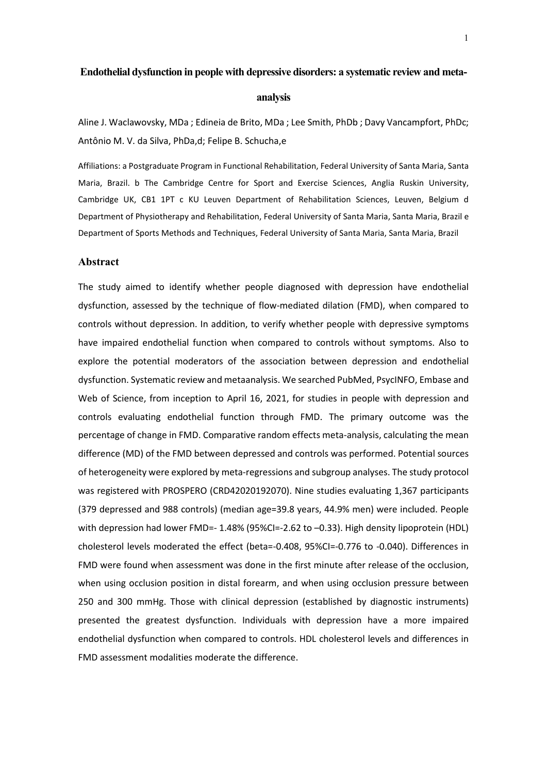# **Endothelial dysfunction in people with depressive disorders: a systematic review and meta-**

### **analysis**

Aline J. Waclawovsky, MDa ; Edineia de Brito, MDa ; Lee Smith, PhDb ; Davy Vancampfort, PhDc; Antônio M. V. da Silva, PhDa,d; Felipe B. Schucha,e

Affiliations: a Postgraduate Program in Functional Rehabilitation, Federal University of Santa Maria, Santa Maria, Brazil. b The Cambridge Centre for Sport and Exercise Sciences, Anglia Ruskin University, Cambridge UK, CB1 1PT c KU Leuven Department of Rehabilitation Sciences, Leuven, Belgium d Department of Physiotherapy and Rehabilitation, Federal University of Santa Maria, Santa Maria, Brazil e Department of Sports Methods and Techniques, Federal University of Santa Maria, Santa Maria, Brazil

### **Abstract**

The study aimed to identify whether people diagnosed with depression have endothelial dysfunction, assessed by the technique of flow-mediated dilation (FMD), when compared to controls without depression. In addition, to verify whether people with depressive symptoms have impaired endothelial function when compared to controls without symptoms. Also to explore the potential moderators of the association between depression and endothelial dysfunction. Systematic review and metaanalysis. We searched PubMed, PsycINFO, Embase and Web of Science, from inception to April 16, 2021, for studies in people with depression and controls evaluating endothelial function through FMD. The primary outcome was the percentage of change in FMD. Comparative random effects meta-analysis, calculating the mean difference (MD) of the FMD between depressed and controls was performed. Potential sources of heterogeneity were explored by meta-regressions and subgroup analyses. The study protocol was registered with PROSPERO (CRD42020192070). Nine studies evaluating 1,367 participants (379 depressed and 988 controls) (median age=39.8 years, 44.9% men) were included. People with depression had lower FMD=- 1.48% (95%CI=-2.62 to -0.33). High density lipoprotein (HDL) cholesterol levels moderated the effect (beta=-0.408, 95%CI=-0.776 to -0.040). Differences in FMD were found when assessment was done in the first minute after release of the occlusion, when using occlusion position in distal forearm, and when using occlusion pressure between 250 and 300 mmHg. Those with clinical depression (established by diagnostic instruments) presented the greatest dysfunction. Individuals with depression have a more impaired endothelial dysfunction when compared to controls. HDL cholesterol levels and differences in FMD assessment modalities moderate the difference.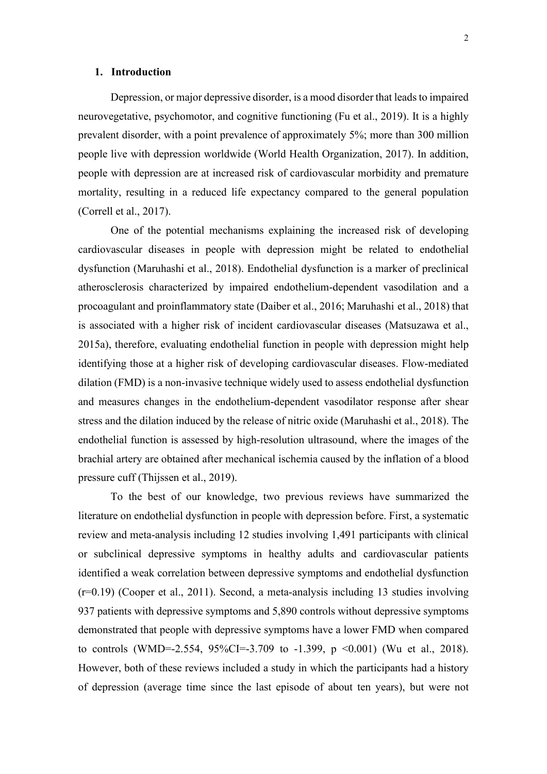# **1. Introduction**

Depression, or major depressive disorder, is a mood disorder that leads to impaired neurovegetative, psychomotor, and cognitive functioning (Fu et al., 2019). It is a highly prevalent disorder, with a point prevalence of approximately 5%; more than 300 million people live with depression worldwide (World Health Organization, 2017). In addition, people with depression are at increased risk of cardiovascular morbidity and premature mortality, resulting in a reduced life expectancy compared to the general population (Correll et al., 2017).

One of the potential mechanisms explaining the increased risk of developing cardiovascular diseases in people with depression might be related to endothelial dysfunction (Maruhashi et al., 2018). Endothelial dysfunction is a marker of preclinical atherosclerosis characterized by impaired endothelium-dependent vasodilation and a procoagulant and proinflammatory state (Daiber et al., 2016; Maruhashi et al., 2018) that is associated with a higher risk of incident cardiovascular diseases (Matsuzawa et al., 2015a), therefore, evaluating endothelial function in people with depression might help identifying those at a higher risk of developing cardiovascular diseases. Flow-mediated dilation (FMD) is a non-invasive technique widely used to assess endothelial dysfunction and measures changes in the endothelium-dependent vasodilator response after shear stress and the dilation induced by the release of nitric oxide (Maruhashi et al., 2018). The endothelial function is assessed by high-resolution ultrasound, where the images of the brachial artery are obtained after mechanical ischemia caused by the inflation of a blood pressure cuff (Thijssen et al., 2019).

To the best of our knowledge, two previous reviews have summarized the literature on endothelial dysfunction in people with depression before. First, a systematic review and meta-analysis including 12 studies involving 1,491 participants with clinical or subclinical depressive symptoms in healthy adults and cardiovascular patients identified a weak correlation between depressive symptoms and endothelial dysfunction (r=0.19) (Cooper et al., 2011). Second, a meta-analysis including 13 studies involving 937 patients with depressive symptoms and 5,890 controls without depressive symptoms demonstrated that people with depressive symptoms have a lower FMD when compared to controls (WMD=-2.554, 95%CI=-3.709 to -1.399, p <0.001) (Wu et al., 2018). However, both of these reviews included a study in which the participants had a history of depression (average time since the last episode of about ten years), but were not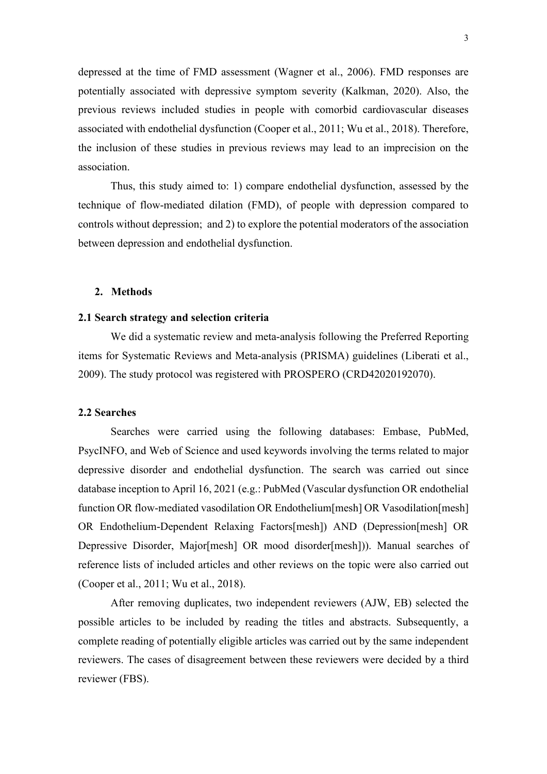depressed at the time of FMD assessment (Wagner et al., 2006). FMD responses are potentially associated with depressive symptom severity (Kalkman, 2020). Also, the previous reviews included studies in people with comorbid cardiovascular diseases associated with endothelial dysfunction (Cooper et al., 2011; Wu et al., 2018). Therefore, the inclusion of these studies in previous reviews may lead to an imprecision on the association.

Thus, this study aimed to: 1) compare endothelial dysfunction, assessed by the technique of flow-mediated dilation (FMD), of people with depression compared to controls without depression; and 2) to explore the potential moderators of the association between depression and endothelial dysfunction.

# **2. Methods**

# **2.1 Search strategy and selection criteria**

We did a systematic review and meta-analysis following the Preferred Reporting items for Systematic Reviews and Meta-analysis (PRISMA) guidelines (Liberati et al., 2009). The study protocol was registered with PROSPERO (CRD42020192070).

### **2.2 Searches**

Searches were carried using the following databases: Embase, PubMed, PsycINFO, and Web of Science and used keywords involving the terms related to major depressive disorder and endothelial dysfunction. The search was carried out since database inception to April 16, 2021 (e.g.: PubMed (Vascular dysfunction OR endothelial function OR flow-mediated vasodilation OR Endothelium[mesh] OR Vasodilation[mesh] OR Endothelium-Dependent Relaxing Factors[mesh]) AND (Depression[mesh] OR Depressive Disorder, Major[mesh] OR mood disorder[mesh])). Manual searches of reference lists of included articles and other reviews on the topic were also carried out (Cooper et al., 2011; Wu et al., 2018).

After removing duplicates, two independent reviewers (AJW, EB) selected the possible articles to be included by reading the titles and abstracts. Subsequently, a complete reading of potentially eligible articles was carried out by the same independent reviewers. The cases of disagreement between these reviewers were decided by a third reviewer (FBS).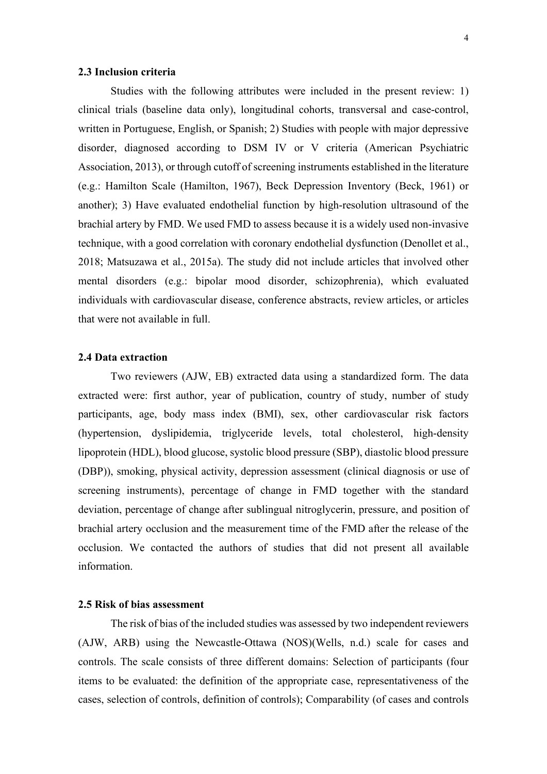### **2.3 Inclusion criteria**

Studies with the following attributes were included in the present review: 1) clinical trials (baseline data only), longitudinal cohorts, transversal and case-control, written in Portuguese, English, or Spanish; 2) Studies with people with major depressive disorder, diagnosed according to DSM IV or V criteria (American Psychiatric Association, 2013), or through cutoff of screening instruments established in the literature (e.g.: Hamilton Scale (Hamilton, 1967), Beck Depression Inventory (Beck, 1961) or another); 3) Have evaluated endothelial function by high-resolution ultrasound of the brachial artery by FMD. We used FMD to assess because it is a widely used non-invasive technique, with a good correlation with coronary endothelial dysfunction (Denollet et al., 2018; Matsuzawa et al., 2015a). The study did not include articles that involved other mental disorders (e.g.: bipolar mood disorder, schizophrenia), which evaluated individuals with cardiovascular disease, conference abstracts, review articles, or articles that were not available in full.

# **2.4 Data extraction**

Two reviewers (AJW, EB) extracted data using a standardized form. The data extracted were: first author, year of publication, country of study, number of study participants, age, body mass index (BMI), sex, other cardiovascular risk factors (hypertension, dyslipidemia, triglyceride levels, total cholesterol, high-density lipoprotein (HDL), blood glucose, systolic blood pressure (SBP), diastolic blood pressure (DBP)), smoking, physical activity, depression assessment (clinical diagnosis or use of screening instruments), percentage of change in FMD together with the standard deviation, percentage of change after sublingual nitroglycerin, pressure, and position of brachial artery occlusion and the measurement time of the FMD after the release of the occlusion. We contacted the authors of studies that did not present all available information.

# **2.5 Risk of bias assessment**

The risk of bias of the included studies was assessed by two independent reviewers (AJW, ARB) using the Newcastle-Ottawa (NOS)(Wells, n.d.) scale for cases and controls. The scale consists of three different domains: Selection of participants (four items to be evaluated: the definition of the appropriate case, representativeness of the cases, selection of controls, definition of controls); Comparability (of cases and controls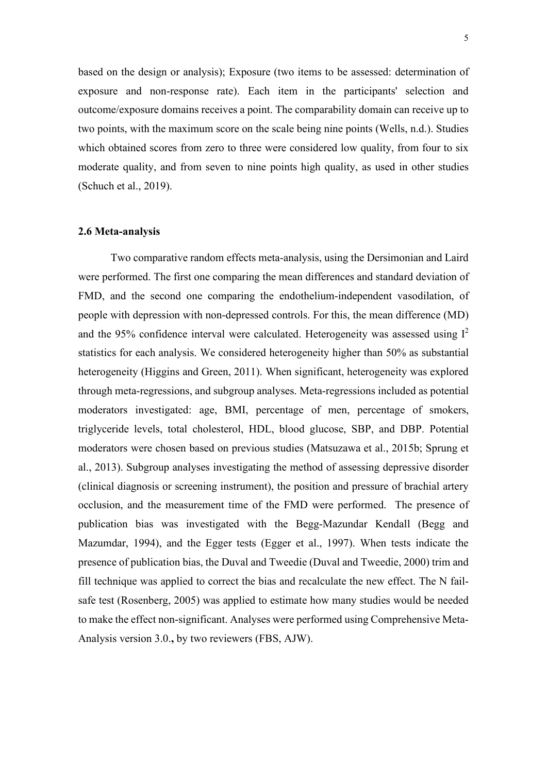based on the design or analysis); Exposure (two items to be assessed: determination of exposure and non-response rate). Each item in the participants' selection and outcome/exposure domains receives a point. The comparability domain can receive up to two points, with the maximum score on the scale being nine points (Wells, n.d.). Studies which obtained scores from zero to three were considered low quality, from four to six moderate quality, and from seven to nine points high quality, as used in other studies (Schuch et al., 2019).

#### **2.6 Meta-analysis**

Two comparative random effects meta-analysis, using the Dersimonian and Laird were performed. The first one comparing the mean differences and standard deviation of FMD, and the second one comparing the endothelium-independent vasodilation, of people with depression with non-depressed controls. For this, the mean difference (MD) and the 95% confidence interval were calculated. Heterogeneity was assessed using  $I^2$ statistics for each analysis. We considered heterogeneity higher than 50% as substantial heterogeneity (Higgins and Green, 2011). When significant, heterogeneity was explored through meta-regressions, and subgroup analyses. Meta-regressions included as potential moderators investigated: age, BMI, percentage of men, percentage of smokers, triglyceride levels, total cholesterol, HDL, blood glucose, SBP, and DBP. Potential moderators were chosen based on previous studies (Matsuzawa et al., 2015b; Sprung et al., 2013). Subgroup analyses investigating the method of assessing depressive disorder (clinical diagnosis or screening instrument), the position and pressure of brachial artery occlusion, and the measurement time of the FMD were performed. The presence of publication bias was investigated with the Begg-Mazundar Kendall (Begg and Mazumdar, 1994), and the Egger tests (Egger et al., 1997). When tests indicate the presence of publication bias, the Duval and Tweedie (Duval and Tweedie, 2000) trim and fill technique was applied to correct the bias and recalculate the new effect. The N failsafe test (Rosenberg, 2005) was applied to estimate how many studies would be needed to make the effect non-significant. Analyses were performed using Comprehensive Meta-Analysis version 3.0.**,** by two reviewers (FBS, AJW).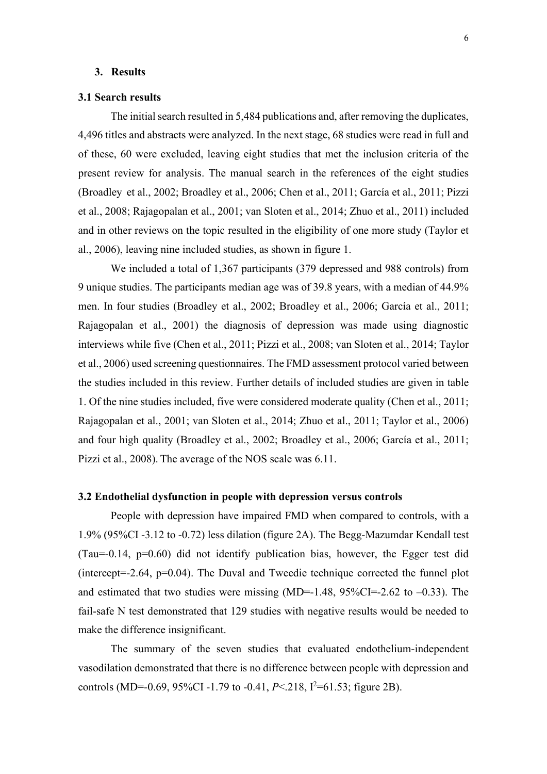# **3. Results**

### **3.1 Search results**

The initial search resulted in 5,484 publications and, after removing the duplicates, 4,496 titles and abstracts were analyzed. In the next stage, 68 studies were read in full and of these, 60 were excluded, leaving eight studies that met the inclusion criteria of the present review for analysis. The manual search in the references of the eight studies (Broadley et al., 2002; Broadley et al., 2006; Chen et al., 2011; García et al., 2011; Pizzi et al., 2008; Rajagopalan et al., 2001; van Sloten et al., 2014; Zhuo et al., 2011) included and in other reviews on the topic resulted in the eligibility of one more study (Taylor et al., 2006), leaving nine included studies, as shown in figure 1.

We included a total of 1,367 participants (379 depressed and 988 controls) from 9 unique studies. The participants median age was of 39.8 years, with a median of 44.9% men. In four studies (Broadley et al., 2002; Broadley et al., 2006; García et al., 2011; Rajagopalan et al., 2001) the diagnosis of depression was made using diagnostic interviews while five (Chen et al., 2011; Pizzi et al., 2008; van Sloten et al., 2014; Taylor et al., 2006) used screening questionnaires. The FMD assessment protocol varied between the studies included in this review. Further details of included studies are given in table 1. Of the nine studies included, five were considered moderate quality (Chen et al., 2011; Rajagopalan et al., 2001; van Sloten et al., 2014; Zhuo et al., 2011; Taylor et al., 2006) and four high quality (Broadley et al., 2002; Broadley et al., 2006; García et al., 2011; Pizzi et al., 2008). The average of the NOS scale was 6.11.

# **3.2 Endothelial dysfunction in people with depression versus controls**

People with depression have impaired FMD when compared to controls, with a 1.9% (95%CI -3.12 to -0.72) less dilation (figure 2A). The Begg-Mazumdar Kendall test (Tau=-0.14, p=0.60) did not identify publication bias, however, the Egger test did (intercept=-2.64, p=0.04). The Duval and Tweedie technique corrected the funnel plot and estimated that two studies were missing (MD=-1.48,  $95\%CI = -2.62$  to  $-0.33$ ). The fail-safe N test demonstrated that 129 studies with negative results would be needed to make the difference insignificant.

The summary of the seven studies that evaluated endothelium-independent vasodilation demonstrated that there is no difference between people with depression and controls (MD=-0.69, 95%CI -1.79 to -0.41, *P*<.218, I<sup>2</sup>=61.53; figure 2B).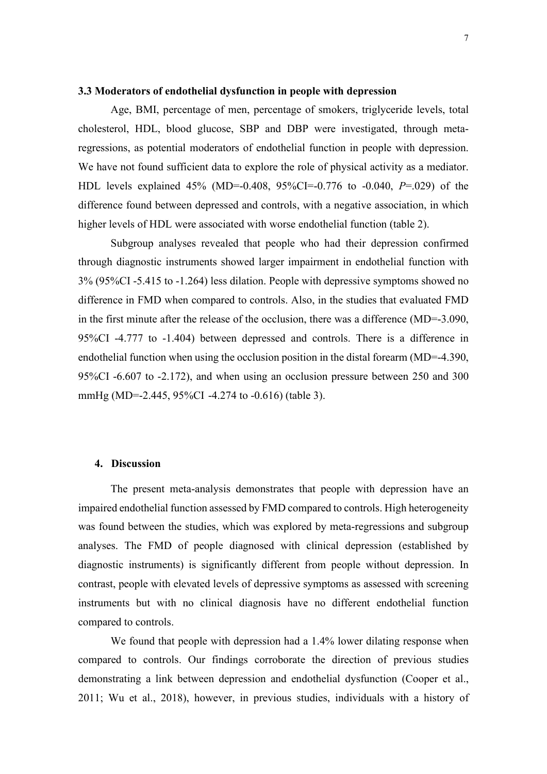### **3.3 Moderators of endothelial dysfunction in people with depression**

Age, BMI, percentage of men, percentage of smokers, triglyceride levels, total cholesterol, HDL, blood glucose, SBP and DBP were investigated, through metaregressions, as potential moderators of endothelial function in people with depression. We have not found sufficient data to explore the role of physical activity as a mediator. HDL levels explained 45% (MD=-0.408, 95%CI=-0.776 to -0.040, *P*=.029) of the difference found between depressed and controls, with a negative association, in which higher levels of HDL were associated with worse endothelial function (table 2).

Subgroup analyses revealed that people who had their depression confirmed through diagnostic instruments showed larger impairment in endothelial function with 3% (95%CI -5.415 to -1.264) less dilation. People with depressive symptoms showed no difference in FMD when compared to controls. Also, in the studies that evaluated FMD in the first minute after the release of the occlusion, there was a difference (MD=-3.090, 95%CI -4.777 to -1.404) between depressed and controls. There is a difference in endothelial function when using the occlusion position in the distal forearm (MD=-4.390, 95%CI -6.607 to -2.172), and when using an occlusion pressure between 250 and 300 mmHg (MD=-2.445, 95%CI -4.274 to -0.616) (table 3).

### **4. Discussion**

The present meta-analysis demonstrates that people with depression have an impaired endothelial function assessed by FMD compared to controls. High heterogeneity was found between the studies, which was explored by meta-regressions and subgroup analyses. The FMD of people diagnosed with clinical depression (established by diagnostic instruments) is significantly different from people without depression. In contrast, people with elevated levels of depressive symptoms as assessed with screening instruments but with no clinical diagnosis have no different endothelial function compared to controls.

We found that people with depression had a 1.4% lower dilating response when compared to controls. Our findings corroborate the direction of previous studies demonstrating a link between depression and endothelial dysfunction (Cooper et al., 2011; Wu et al., 2018), however, in previous studies, individuals with a history of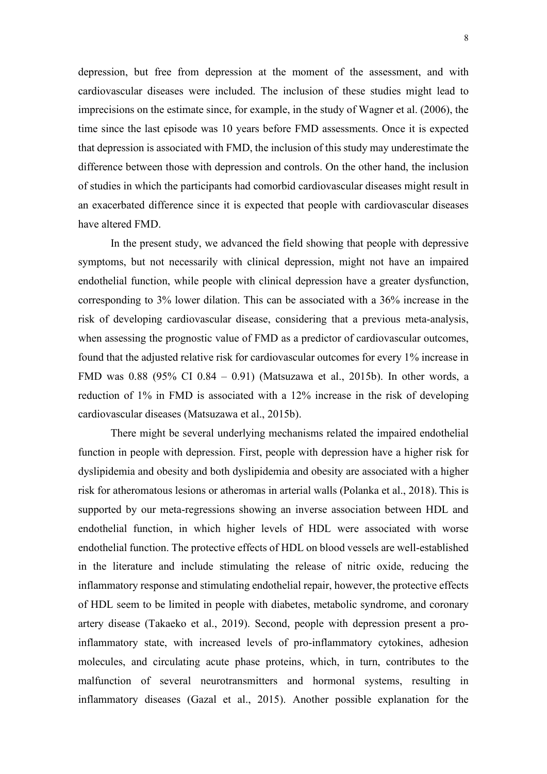depression, but free from depression at the moment of the assessment, and with cardiovascular diseases were included. The inclusion of these studies might lead to imprecisions on the estimate since, for example, in the study of Wagner et al. (2006), the time since the last episode was 10 years before FMD assessments. Once it is expected that depression is associated with FMD, the inclusion of this study may underestimate the difference between those with depression and controls. On the other hand, the inclusion of studies in which the participants had comorbid cardiovascular diseases might result in an exacerbated difference since it is expected that people with cardiovascular diseases have altered FMD.

In the present study, we advanced the field showing that people with depressive symptoms, but not necessarily with clinical depression, might not have an impaired endothelial function, while people with clinical depression have a greater dysfunction, corresponding to 3% lower dilation. This can be associated with a 36% increase in the risk of developing cardiovascular disease, considering that a previous meta-analysis, when assessing the prognostic value of FMD as a predictor of cardiovascular outcomes, found that the adjusted relative risk for cardiovascular outcomes for every 1% increase in FMD was 0.88 (95% CI 0.84 – 0.91) (Matsuzawa et al., 2015b). In other words, a reduction of 1% in FMD is associated with a 12% increase in the risk of developing cardiovascular diseases (Matsuzawa et al., 2015b).

There might be several underlying mechanisms related the impaired endothelial function in people with depression. First, people with depression have a higher risk for dyslipidemia and obesity and both dyslipidemia and obesity are associated with a higher risk for atheromatous lesions or atheromas in arterial walls (Polanka et al., 2018). This is supported by our meta-regressions showing an inverse association between HDL and endothelial function, in which higher levels of HDL were associated with worse endothelial function. The protective effects of HDL on blood vessels are well-established in the literature and include stimulating the release of nitric oxide, reducing the inflammatory response and stimulating endothelial repair, however, the protective effects of HDL seem to be limited in people with diabetes, metabolic syndrome, and coronary artery disease (Takaeko et al., 2019). Second, people with depression present a proinflammatory state, with increased levels of pro-inflammatory cytokines, adhesion molecules, and circulating acute phase proteins, which, in turn, contributes to the malfunction of several neurotransmitters and hormonal systems, resulting in inflammatory diseases (Gazal et al., 2015). Another possible explanation for the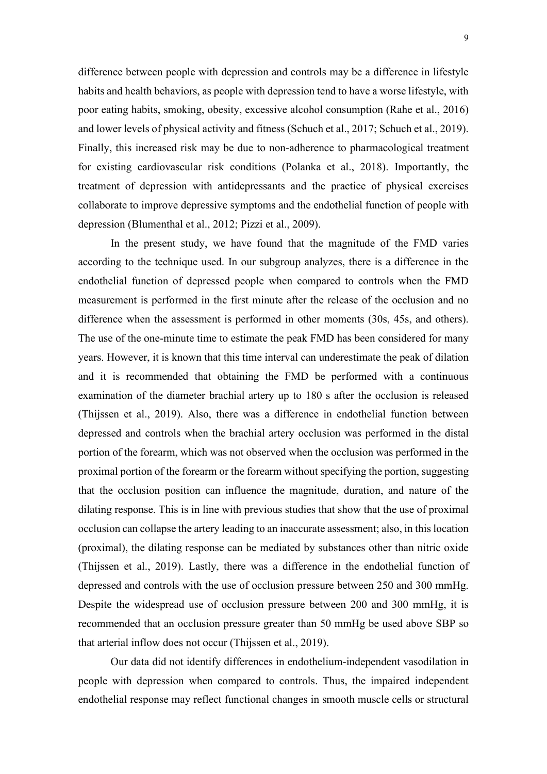difference between people with depression and controls may be a difference in lifestyle habits and health behaviors, as people with depression tend to have a worse lifestyle, with poor eating habits, smoking, obesity, excessive alcohol consumption (Rahe et al., 2016) and lower levels of physical activity and fitness (Schuch et al., 2017; Schuch et al., 2019). Finally, this increased risk may be due to non-adherence to pharmacological treatment for existing cardiovascular risk conditions (Polanka et al., 2018). Importantly, the treatment of depression with antidepressants and the practice of physical exercises collaborate to improve depressive symptoms and the endothelial function of people with depression (Blumenthal et al., 2012; Pizzi et al., 2009).

In the present study, we have found that the magnitude of the FMD varies according to the technique used. In our subgroup analyzes, there is a difference in the endothelial function of depressed people when compared to controls when the FMD measurement is performed in the first minute after the release of the occlusion and no difference when the assessment is performed in other moments (30s, 45s, and others). The use of the one-minute time to estimate the peak FMD has been considered for many years. However, it is known that this time interval can underestimate the peak of dilation and it is recommended that obtaining the FMD be performed with a continuous examination of the diameter brachial artery up to 180 s after the occlusion is released (Thijssen et al., 2019). Also, there was a difference in endothelial function between depressed and controls when the brachial artery occlusion was performed in the distal portion of the forearm, which was not observed when the occlusion was performed in the proximal portion of the forearm or the forearm without specifying the portion, suggesting that the occlusion position can influence the magnitude, duration, and nature of the dilating response. This is in line with previous studies that show that the use of proximal occlusion can collapse the artery leading to an inaccurate assessment; also, in this location (proximal), the dilating response can be mediated by substances other than nitric oxide (Thijssen et al., 2019). Lastly, there was a difference in the endothelial function of depressed and controls with the use of occlusion pressure between 250 and 300 mmHg. Despite the widespread use of occlusion pressure between 200 and 300 mmHg, it is recommended that an occlusion pressure greater than 50 mmHg be used above SBP so that arterial inflow does not occur (Thijssen et al., 2019).

Our data did not identify differences in endothelium-independent vasodilation in people with depression when compared to controls. Thus, the impaired independent endothelial response may reflect functional changes in smooth muscle cells or structural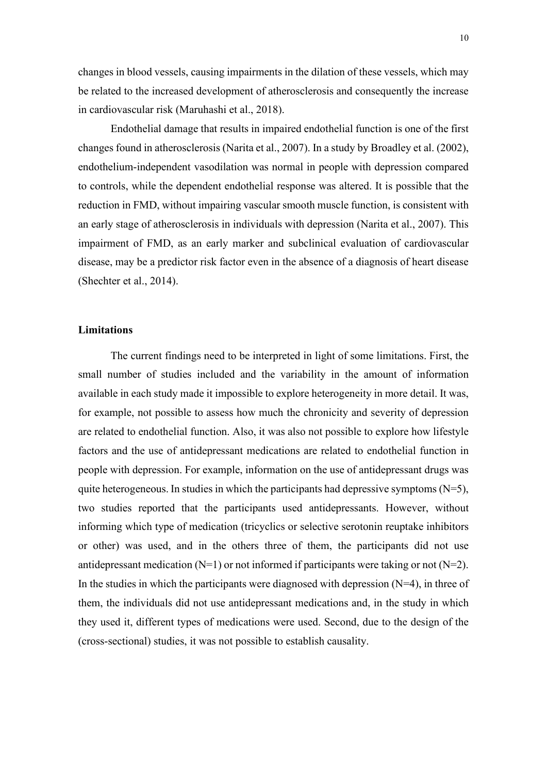changes in blood vessels, causing impairments in the dilation of these vessels, which may be related to the increased development of atherosclerosis and consequently the increase in cardiovascular risk (Maruhashi et al., 2018).

Endothelial damage that results in impaired endothelial function is one of the first changes found in atherosclerosis (Narita et al., 2007). In a study by Broadley et al. (2002), endothelium-independent vasodilation was normal in people with depression compared to controls, while the dependent endothelial response was altered. It is possible that the reduction in FMD, without impairing vascular smooth muscle function, is consistent with an early stage of atherosclerosis in individuals with depression (Narita et al., 2007). This impairment of FMD, as an early marker and subclinical evaluation of cardiovascular disease, may be a predictor risk factor even in the absence of a diagnosis of heart disease (Shechter et al., 2014).

# **Limitations**

The current findings need to be interpreted in light of some limitations. First, the small number of studies included and the variability in the amount of information available in each study made it impossible to explore heterogeneity in more detail. It was, for example, not possible to assess how much the chronicity and severity of depression are related to endothelial function. Also, it was also not possible to explore how lifestyle factors and the use of antidepressant medications are related to endothelial function in people with depression. For example, information on the use of antidepressant drugs was quite heterogeneous. In studies in which the participants had depressive symptoms  $(N=5)$ , two studies reported that the participants used antidepressants. However, without informing which type of medication (tricyclics or selective serotonin reuptake inhibitors or other) was used, and in the others three of them, the participants did not use antidepressant medication  $(N=1)$  or not informed if participants were taking or not  $(N=2)$ . In the studies in which the participants were diagnosed with depression  $(N=4)$ , in three of them, the individuals did not use antidepressant medications and, in the study in which they used it, different types of medications were used. Second, due to the design of the (cross-sectional) studies, it was not possible to establish causality.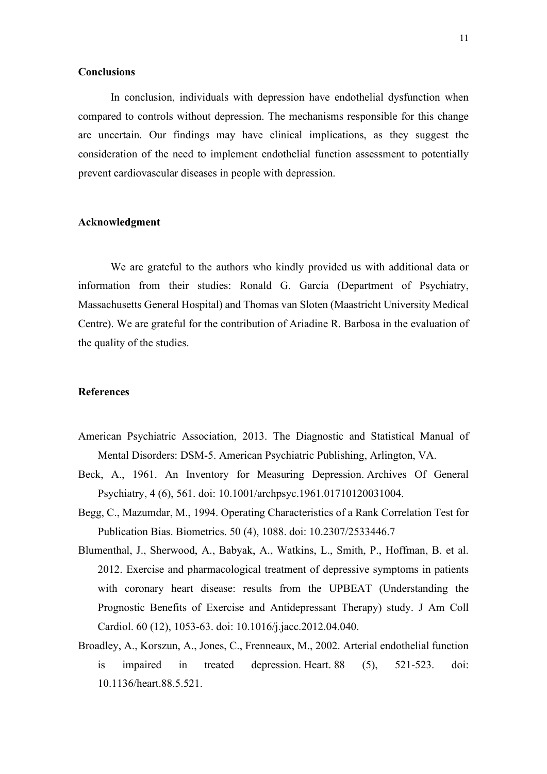# **Conclusions**

In conclusion, individuals with depression have endothelial dysfunction when compared to controls without depression. The mechanisms responsible for this change are uncertain. Our findings may have clinical implications, as they suggest the consideration of the need to implement endothelial function assessment to potentially prevent cardiovascular diseases in people with depression.

# **Acknowledgment**

We are grateful to the authors who kindly provided us with additional data or information from their studies: Ronald G. García (Department of Psychiatry, Massachusetts General Hospital) and Thomas van Sloten (Maastricht University Medical Centre). We are grateful for the contribution of Ariadine R. Barbosa in the evaluation of the quality of the studies.

# **References**

- American Psychiatric Association, 2013. The Diagnostic and Statistical Manual of Mental Disorders: DSM-5. American Psychiatric Publishing, Arlington, VA.
- Beck, A., 1961. An Inventory for Measuring Depression. Archives Of General Psychiatry, 4 (6), 561. doi: 10.1001/archpsyc.1961.01710120031004.
- Begg, C., Mazumdar, M., 1994. Operating Characteristics of a Rank Correlation Test for Publication Bias. Biometrics. 50 (4), 1088. doi: 10.2307/2533446.7
- Blumenthal, J., Sherwood, A., Babyak, A., Watkins, L., Smith, P., Hoffman, B. et al. 2012. Exercise and pharmacological treatment of depressive symptoms in patients with coronary heart disease: results from the UPBEAT (Understanding the Prognostic Benefits of Exercise and Antidepressant Therapy) study. J Am Coll Cardiol. 60 (12), 1053-63. doi: 10.1016/j.jacc.2012.04.040.
- Broadley, A., Korszun, A., Jones, C., Frenneaux, M., 2002. Arterial endothelial function is impaired in treated depression. Heart. 88 (5), 521-523. doi: 10.1136/heart.88.5.521.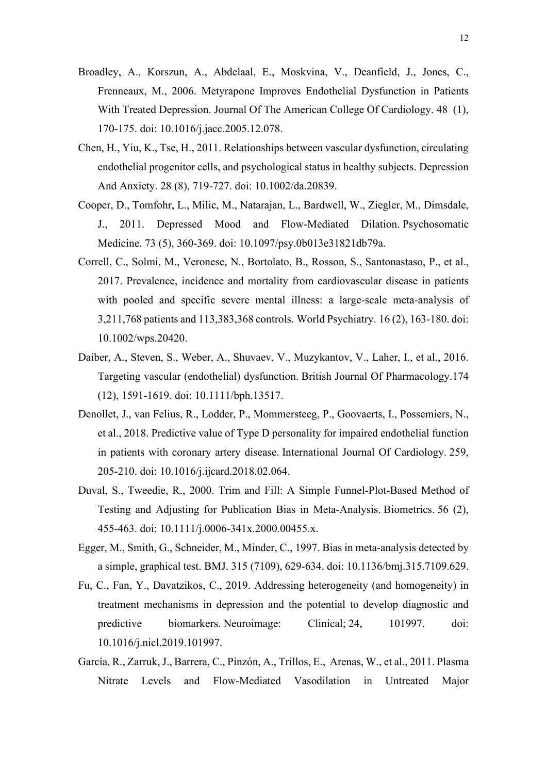- Broadley, A., Korszun, A., Abdelaal, E., Moskvina, V., Deanfield, J., Jones, C., Frenneaux, M., 2006. Metyrapone Improves Endothelial Dysfunction in Patients With Treated Depression. Journal Of The American College Of Cardiology. 48 (1), 170-175. doi: 10.1016/j.jacc.2005.12.078.
- Chen, H., Yiu, K., Tse, H., 2011. Relationships between vascular dysfunction, circulating endothelial progenitor cells, and psychological status in healthy subjects. Depression And Anxiety. 28 (8), 719-727. doi: 10.1002/da.20839.
- Cooper, D., Tomfohr, L., Milic, M., Natarajan, L., Bardwell, W., Ziegler, M., Dimsdale, J., 2011. Depressed Mood and Flow-Mediated Dilation. Psychosomatic Medicine. 73 (5), 360-369. doi: 10.1097/psy.0b013e31821db79a.
- Correll, C., Solmi, M., Veronese, N., Bortolato, B., Rosson, S., Santonastaso, P., et al., 2017. Prevalence, incidence and mortality from cardiovascular disease in patients with pooled and specific severe mental illness: a large-scale meta-analysis of 3,211,768 patients and 113,383,368 controls. World Psychiatry. 16 (2), 163-180. doi: 10.1002/wps.20420.
- Daiber, A., Steven, S., Weber, A., Shuvaev, V., Muzykantov, V., Laher, I., et al., 2016. Targeting vascular (endothelial) dysfunction. British Journal Of Pharmacology.174 (12), 1591-1619. doi: 10.1111/bph.13517.
- Denollet, J., van Felius, R., Lodder, P., Mommersteeg, P., Goovaerts, I., Possemiers, N., et al., 2018. Predictive value of Type D personality for impaired endothelial function in patients with coronary artery disease. International Journal Of Cardiology. 259, 205-210. doi: 10.1016/j.ijcard.2018.02.064.
- Duval, S., Tweedie, R., 2000. Trim and Fill: A Simple Funnel-Plot-Based Method of Testing and Adjusting for Publication Bias in Meta-Analysis. Biometrics. 56 (2), 455-463. doi: 10.1111/j.0006-341x.2000.00455.x.
- Egger, M., Smith, G., Schneider, M., Minder, C., 1997. Bias in meta-analysis detected by a simple, graphical test. BMJ. 315 (7109), 629-634. doi: 10.1136/bmj.315.7109.629.
- Fu, C., Fan, Y., Davatzikos, C., 2019. Addressing heterogeneity (and homogeneity) in treatment mechanisms in depression and the potential to develop diagnostic and predictive biomarkers. Neuroimage: Clinical; 24, 101997. doi: 10.1016/j.nicl.2019.101997.
- García, R., Zarruk, J., Barrera, C., Pinzón, A., Trillos, E., Arenas, W., et al., 2011. Plasma Nitrate Levels and Flow-Mediated Vasodilation in Untreated Major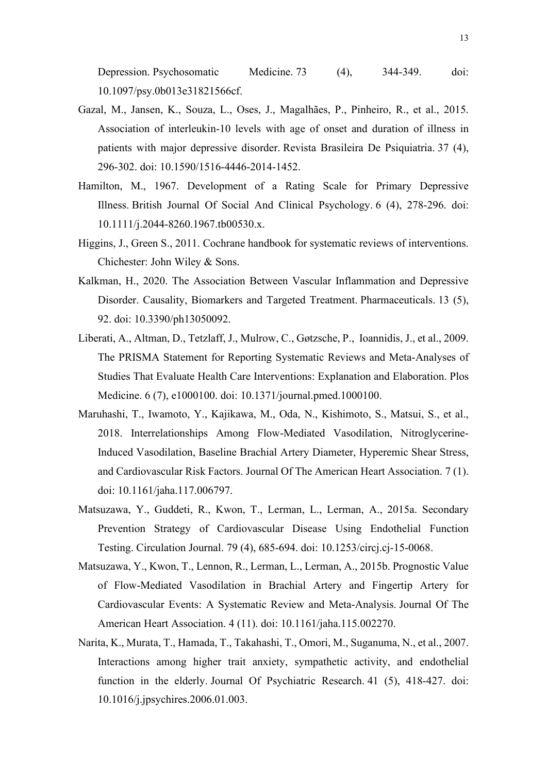Depression. Psychosomatic Medicine. 73 (4), 344-349. doi: 10.1097/psy.0b013e31821566cf.

- Gazal, M., Jansen, K., Souza, L., Oses, J., Magalhães, P., Pinheiro, R., et al., 2015. Association of interleukin-10 levels with age of onset and duration of illness in patients with major depressive disorder. Revista Brasileira De Psiquiatria. 37 (4), 296-302. doi: 10.1590/1516-4446-2014-1452.
- Hamilton, M., 1967. Development of a Rating Scale for Primary Depressive Illness. British Journal Of Social And Clinical Psychology. 6 (4), 278-296. doi: 10.1111/j.2044-8260.1967.tb00530.x.
- Higgins, J., Green S., 2011. Cochrane handbook for systematic reviews of interventions. Chichester: John Wiley & Sons.
- Kalkman, H., 2020. The Association Between Vascular Inflammation and Depressive Disorder. Causality, Biomarkers and Targeted Treatment. Pharmaceuticals. 13 (5), 92. doi: 10.3390/ph13050092.
- Liberati, A., Altman, D., Tetzlaff, J., Mulrow, C., Gøtzsche, P., Ioannidis, J., et al., 2009. The PRISMA Statement for Reporting Systematic Reviews and Meta-Analyses of Studies That Evaluate Health Care Interventions: Explanation and Elaboration. Plos Medicine. 6 (7), e1000100. doi: 10.1371/journal.pmed.1000100.
- Maruhashi, T., Iwamoto, Y., Kajikawa, M., Oda, N., Kishimoto, S., Matsui, S., et al., 2018. Interrelationships Among Flow‐Mediated Vasodilation, Nitroglycerine‐ Induced Vasodilation, Baseline Brachial Artery Diameter, Hyperemic Shear Stress, and Cardiovascular Risk Factors. Journal Of The American Heart Association. 7 (1). doi: 10.1161/jaha.117.006797.
- Matsuzawa, Y., Guddeti, R., Kwon, T., Lerman, L., Lerman, A., 2015a. Secondary Prevention Strategy of Cardiovascular Disease Using Endothelial Function Testing. Circulation Journal. 79 (4), 685-694. doi: 10.1253/circj.cj-15-0068.
- Matsuzawa, Y., Kwon, T., Lennon, R., Lerman, L., Lerman, A., 2015b. Prognostic Value of Flow‐Mediated Vasodilation in Brachial Artery and Fingertip Artery for Cardiovascular Events: A Systematic Review and Meta‐Analysis. Journal Of The American Heart Association. 4 (11). doi: 10.1161/jaha.115.002270.
- Narita, K., Murata, T., Hamada, T., Takahashi, T., Omori, M., Suganuma, N., et al., 2007. Interactions among higher trait anxiety, sympathetic activity, and endothelial function in the elderly. Journal Of Psychiatric Research. 41 (5), 418-427. doi: 10.1016/j.jpsychires.2006.01.003.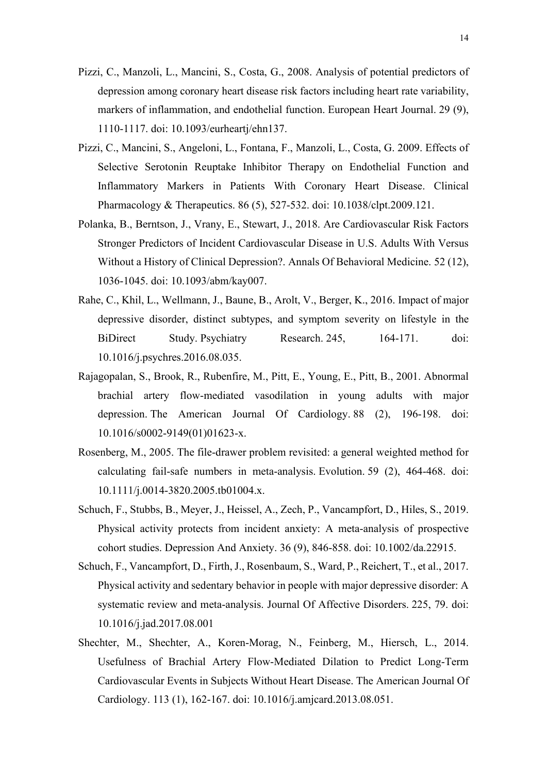- Pizzi, C., Manzoli, L., Mancini, S., Costa, G., 2008. Analysis of potential predictors of depression among coronary heart disease risk factors including heart rate variability, markers of inflammation, and endothelial function. European Heart Journal. 29 (9), 1110-1117. doi: 10.1093/eurheartj/ehn137.
- Pizzi, C., Mancini, S., Angeloni, L., Fontana, F., Manzoli, L., Costa, G. 2009. Effects of Selective Serotonin Reuptake Inhibitor Therapy on Endothelial Function and Inflammatory Markers in Patients With Coronary Heart Disease. Clinical Pharmacology & Therapeutics. 86 (5), 527-532. doi: 10.1038/clpt.2009.121.
- Polanka, B., Berntson, J., Vrany, E., Stewart, J., 2018. Are Cardiovascular Risk Factors Stronger Predictors of Incident Cardiovascular Disease in U.S. Adults With Versus Without a History of Clinical Depression?. Annals Of Behavioral Medicine. 52 (12), 1036-1045. doi: 10.1093/abm/kay007.
- Rahe, C., Khil, L., Wellmann, J., Baune, B., Arolt, V., Berger, K., 2016. Impact of major depressive disorder, distinct subtypes, and symptom severity on lifestyle in the BiDirect Study. Psychiatry Research. 245, 164-171. doi: 10.1016/j.psychres.2016.08.035.
- Rajagopalan, S., Brook, R., Rubenfire, M., Pitt, E., Young, E., Pitt, B., 2001. Abnormal brachial artery flow-mediated vasodilation in young adults with major depression. The American Journal Of Cardiology. 88 (2), 196-198. doi: 10.1016/s0002-9149(01)01623-x.
- Rosenberg, M., 2005. The file-drawer problem revisited: a general weighted method for calculating fail-safe numbers in meta-analysis. Evolution. 59 (2), 464-468. doi: 10.1111/j.0014-3820.2005.tb01004.x.
- Schuch, F., Stubbs, B., Meyer, J., Heissel, A., Zech, P., Vancampfort, D., Hiles, S., 2019. Physical activity protects from incident anxiety: A meta‐analysis of prospective cohort studies. Depression And Anxiety. 36 (9), 846-858. doi: 10.1002/da.22915.
- Schuch, F., Vancampfort, D., Firth, J., Rosenbaum, S., Ward, P., Reichert, T., et al., 2017. Physical activity and sedentary behavior in people with major depressive disorder: A systematic review and meta-analysis. Journal Of Affective Disorders. 225, 79. doi: 10.1016/j.jad.2017.08.001
- Shechter, M., Shechter, A., Koren-Morag, N., Feinberg, M., Hiersch, L., 2014. Usefulness of Brachial Artery Flow-Mediated Dilation to Predict Long-Term Cardiovascular Events in Subjects Without Heart Disease. The American Journal Of Cardiology. 113 (1), 162-167. doi: 10.1016/j.amjcard.2013.08.051.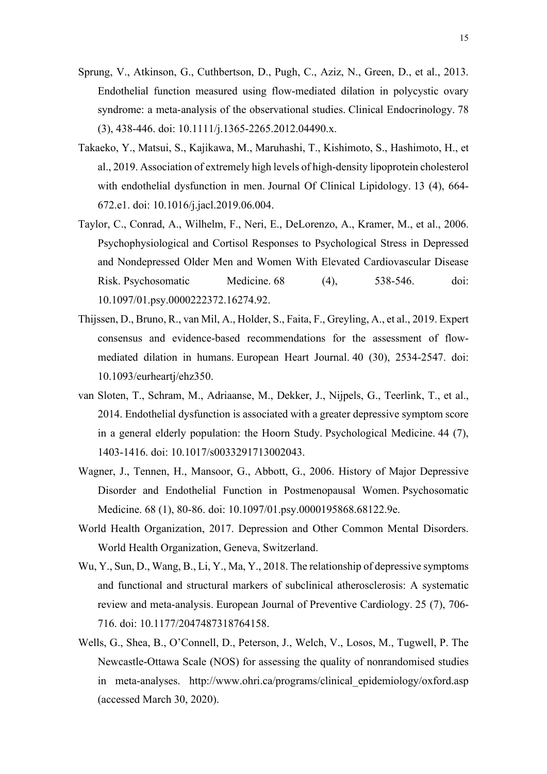- Sprung, V., Atkinson, G., Cuthbertson, D., Pugh, C., Aziz, N., Green, D., et al., 2013. Endothelial function measured using flow-mediated dilation in polycystic ovary syndrome: a meta-analysis of the observational studies. Clinical Endocrinology. 78 (3), 438-446. doi: 10.1111/j.1365-2265.2012.04490.x.
- Takaeko, Y., Matsui, S., Kajikawa, M., Maruhashi, T., Kishimoto, S., Hashimoto, H., et al., 2019. Association of extremely high levels of high-density lipoprotein cholesterol with endothelial dysfunction in men. Journal Of Clinical Lipidology. 13 (4), 664- 672.e1. doi: 10.1016/j.jacl.2019.06.004.
- Taylor, C., Conrad, A., Wilhelm, F., Neri, E., DeLorenzo, A., Kramer, M., et al., 2006. Psychophysiological and Cortisol Responses to Psychological Stress in Depressed and Nondepressed Older Men and Women With Elevated Cardiovascular Disease Risk. Psychosomatic Medicine. 68 (4), 538-546. doi: 10.1097/01.psy.0000222372.16274.92.
- Thijssen, D., Bruno, R., van Mil, A., Holder, S., Faita, F., Greyling, A., et al., 2019. Expert consensus and evidence-based recommendations for the assessment of flowmediated dilation in humans. European Heart Journal. 40 (30), 2534-2547. doi: 10.1093/eurheartj/ehz350.
- van Sloten, T., Schram, M., Adriaanse, M., Dekker, J., Nijpels, G., Teerlink, T., et al., 2014. Endothelial dysfunction is associated with a greater depressive symptom score in a general elderly population: the Hoorn Study. Psychological Medicine. 44 (7), 1403-1416. doi: 10.1017/s0033291713002043.
- Wagner, J., Tennen, H., Mansoor, G., Abbott, G., 2006. History of Major Depressive Disorder and Endothelial Function in Postmenopausal Women. Psychosomatic Medicine. 68 (1), 80-86. doi: 10.1097/01.psy.0000195868.68122.9e.
- World Health Organization, 2017. Depression and Other Common Mental Disorders. World Health Organization, Geneva, Switzerland.
- Wu, Y., Sun, D., Wang, B., Li, Y., Ma, Y., 2018. The relationship of depressive symptoms and functional and structural markers of subclinical atherosclerosis: A systematic review and meta-analysis. European Journal of Preventive Cardiology. 25 (7), 706- 716. doi: 10.1177/2047487318764158.
- Wells, G., Shea, B., O'Connell, D., Peterson, J., Welch, V., Losos, M., Tugwell, P. The Newcastle-Ottawa Scale (NOS) for assessing the quality of nonrandomised studies in meta-analyses. http://www.ohri.ca/programs/clinical\_epidemiology/oxford.asp (accessed March 30, 2020).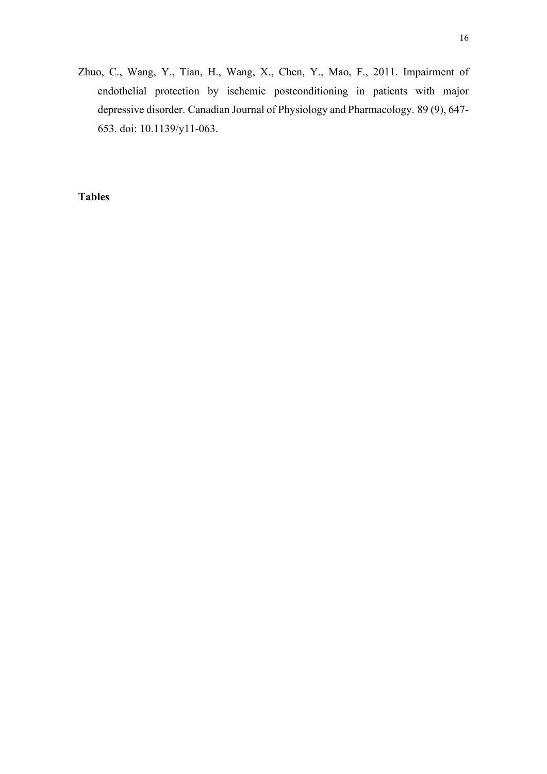Zhuo, C., Wang, Y., Tian, H., Wang, X., Chen, Y., Mao, F., 2011. Impairment of endothelial protection by ischemic postconditioning in patients with major depressive disorder. Canadian Journal of Physiology and Pharmacology. 89 (9), 647- 653. doi: 10.1139/y11-063.

**Tables**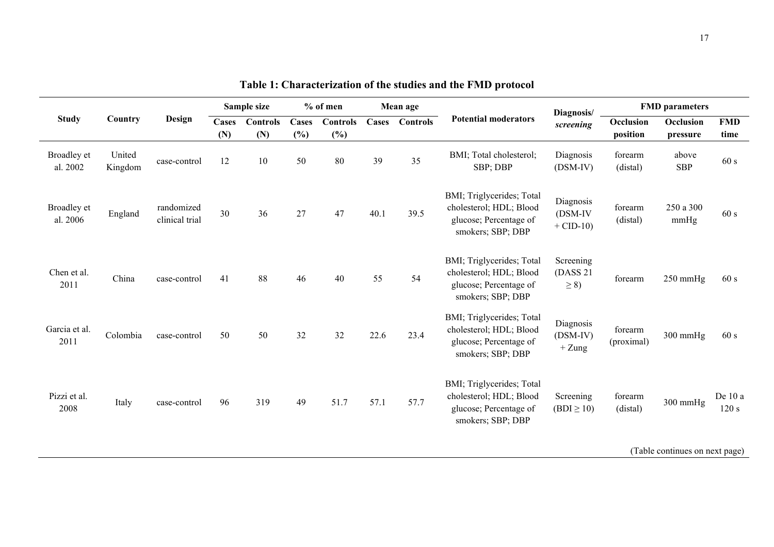| <b>Study</b>            | Country                        | Design                       | Sample size         |                        | $%$ of men   |                           | Mean age |          |                                                                                                     | Diagnosis/                             | <b>FMD</b> parameters |                       |                    |
|-------------------------|--------------------------------|------------------------------|---------------------|------------------------|--------------|---------------------------|----------|----------|-----------------------------------------------------------------------------------------------------|----------------------------------------|-----------------------|-----------------------|--------------------|
|                         |                                |                              | <b>Cases</b><br>(N) | <b>Controls</b><br>(N) | Cases<br>(%) | <b>Controls</b><br>$(\%)$ | Cases    | Controls | <b>Potential moderators</b>                                                                         | screening                              | Occlusion<br>position | Occlusion<br>pressure | <b>FMD</b><br>time |
| Broadley et<br>al. 2002 | United<br>Kingdom              | case-control                 | 12                  | 10                     | 50           | 80                        | 39       | 35       | BMI; Total cholesterol;<br>SBP; DBP                                                                 | Diagnosis<br>$(DSM-IV)$                | forearm<br>(distal)   | above<br><b>SBP</b>   | 60 s               |
| Broadley et<br>al. 2006 | England                        | randomized<br>clinical trial | 30                  | 36                     | 27           | 47                        | 40.1     | 39.5     | BMI; Triglycerides; Total<br>cholesterol; HDL; Blood<br>glucose; Percentage of<br>smokers; SBP; DBP | Diagnosis<br>$(DSM-IV)$<br>$+$ CID-10) | forearm<br>(distal)   | 250 a 300<br>mmHg     | 60 s               |
| Chen et al.<br>2011     | China                          | case-control                 | 41                  | 88                     | 46           | 40                        | 55       | 54       | BMI; Triglycerides; Total<br>cholesterol; HDL; Blood<br>glucose; Percentage of<br>smokers; SBP; DBP | Screening<br>(DASS 21)<br>$\geq$ 8)    | forearm               | $250$ mmHg            | 60 s               |
| Garcia et al.<br>2011   | Colombia                       | case-control                 | 50                  | 50                     | 32           | 32                        | 22.6     | 23.4     | BMI; Triglycerides; Total<br>cholesterol; HDL; Blood<br>glucose; Percentage of<br>smokers; SBP; DBP | Diagnosis<br>$(DSM-IV)$<br>$+$ Zung    | forearm<br>(proximal) | 300 mmHg              | 60 s               |
| Pizzi et al.<br>2008    | Italy                          | case-control                 | 96                  | 319                    | 49           | 51.7                      | 57.1     | 57.7     | BMI; Triglycerides; Total<br>cholesterol; HDL; Blood<br>glucose; Percentage of<br>smokers; SBP; DBP | Screening<br>$(BDI \ge 10)$            | forearm<br>(distal)   | $300$ mmHg            | De 10 a<br>120 s   |
|                         | (Table continues on next page) |                              |                     |                        |              |                           |          |          |                                                                                                     |                                        |                       |                       |                    |

**Table 1: Characterization of the studies and the FMD protocol**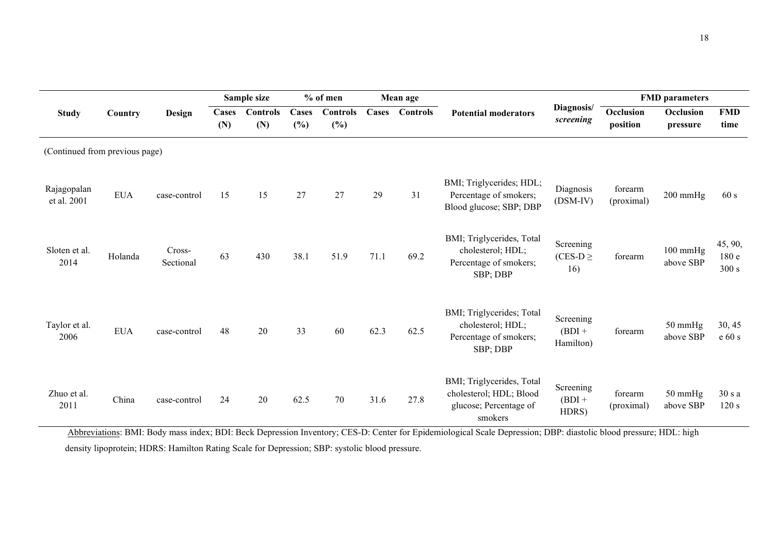|                                | Country    | <b>Design</b>       |              | Sample size            | $%$ of men             |                           | Mean age     |                 |                                                                                           |                                    | <b>FMD</b> parameters |                                 |                          |
|--------------------------------|------------|---------------------|--------------|------------------------|------------------------|---------------------------|--------------|-----------------|-------------------------------------------------------------------------------------------|------------------------------------|-----------------------|---------------------------------|--------------------------|
| <b>Study</b>                   |            |                     | Cases<br>(N) | <b>Controls</b><br>(N) | <b>Cases</b><br>$(\%)$ | <b>Controls</b><br>$(\%)$ | <b>Cases</b> | <b>Controls</b> | <b>Potential moderators</b>                                                               | Diagnosis/<br>screening            | Occlusion<br>position | Occlusion<br>pressure           | <b>FMD</b><br>time       |
| (Continued from previous page) |            |                     |              |                        |                        |                           |              |                 |                                                                                           |                                    |                       |                                 |                          |
| Rajagopalan<br>et al. 2001     | <b>EUA</b> | case-control        | 15           | 15                     | 27                     | 27                        | 29           | 31              | BMI; Triglycerides; HDL;<br>Percentage of smokers;<br>Blood glucose; SBP; DBP             | Diagnosis<br>$(DSM-IV)$            | forearm<br>(proximal) | $200$ mmHg                      | 60 s                     |
| Sloten et al.<br>2014          | Holanda    | Cross-<br>Sectional | 63           | 430                    | 38.1                   | 51.9                      | 71.1         | 69.2            | BMI; Triglycerides, Total<br>cholesterol; HDL;<br>Percentage of smokers;<br>SBP; DBP      | Screening<br>$(CES-D)$<br>16)      | forearm               | $100 \text{ mmHg}$<br>above SBP | 45, 90,<br>180e<br>300 s |
| Taylor et al.<br>2006          | <b>EUA</b> | case-control        | 48           | 20                     | 33                     | 60                        | 62.3         | 62.5            | BMI; Triglycerides; Total<br>cholesterol; HDL;<br>Percentage of smokers;<br>SBP; DBP      | Screening<br>$(BDI +$<br>Hamilton) | forearm               | 50 mmHg<br>above SBP            | 30, 45<br>e 60 s         |
| Zhuo et al.<br>2011            | China      | case-control        | 24           | 20                     | 62.5                   | 70                        | 31.6         | 27.8            | BMI; Triglycerides, Total<br>cholesterol; HDL; Blood<br>glucose; Percentage of<br>smokers | Screening<br>$(BDI +$<br>HDRS)     | forearm<br>(proximal) | $50 \text{ mmHg}$<br>above SBP  | 30 s a<br>120 s          |

Abbreviations: BMI: Body mass index; BDI: Beck Depression Inventory; CES-D: Center for Epidemiological Scale Depression; DBP: diastolic blood pressure; HDL: high density lipoprotein; HDRS: Hamilton Rating Scale for Depression; SBP: systolic blood pressure.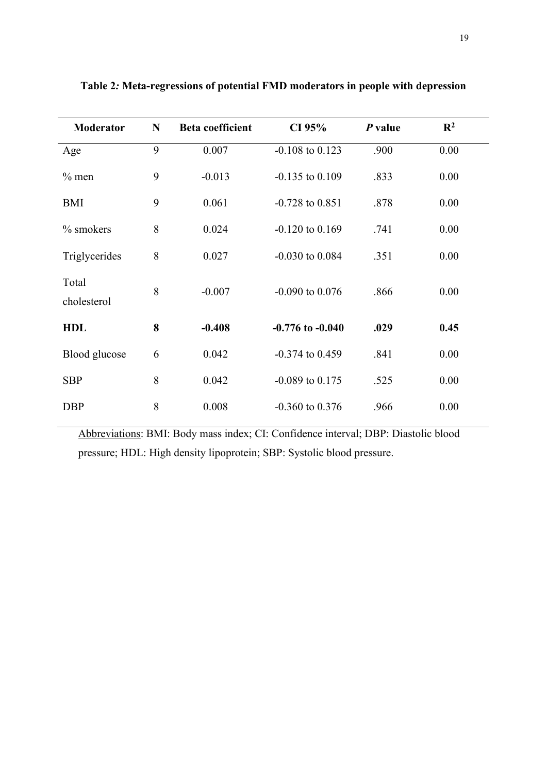| <b>Moderator</b>     | N | <b>Beta coefficient</b> | CI 95%               | $P$ value | $\mathbb{R}^2$ |  |
|----------------------|---|-------------------------|----------------------|-----------|----------------|--|
| Age                  | 9 | 0.007                   | $-0.108$ to $0.123$  | .900      | 0.00           |  |
| $%$ men              | 9 | $-0.013$                | $-0.135$ to $0.109$  | .833      | 0.00           |  |
| <b>BMI</b>           | 9 | 0.061                   | $-0.728$ to $0.851$  | .878      | 0.00           |  |
| $%$ smokers          | 8 | 0.024                   | $-0.120$ to $0.169$  | .741      | 0.00           |  |
| Triglycerides        | 8 | 0.027                   | $-0.030$ to $0.084$  | .351      | 0.00           |  |
| Total<br>cholesterol | 8 | $-0.007$                | $-0.090$ to $0.076$  | .866      | 0.00           |  |
| <b>HDL</b>           | 8 | $-0.408$                | $-0.776$ to $-0.040$ | .029      | 0.45           |  |
| Blood glucose        | 6 | 0.042                   | $-0.374$ to $0.459$  | .841      | 0.00           |  |
| <b>SBP</b>           | 8 | 0.042                   | $-0.089$ to $0.175$  | .525      | 0.00           |  |
| <b>DBP</b>           | 8 | 0.008                   | $-0.360$ to $0.376$  | .966      | 0.00           |  |

**Table 2***:* **Meta-regressions of potential FMD moderators in people with depression**

Abbreviations: BMI: Body mass index; CI: Confidence interval; DBP: Diastolic blood pressure; HDL: High density lipoprotein; SBP: Systolic blood pressure.